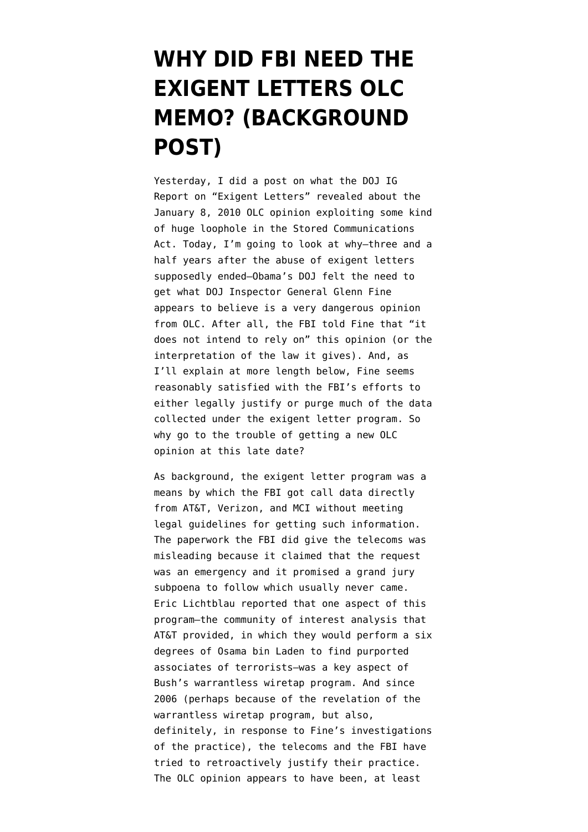## **[WHY DID FBI NEED THE](https://www.emptywheel.net/2010/02/16/why-did-fbi-need-the-exigent-letters-olc-memo-background-post/) [EXIGENT LETTERS OLC](https://www.emptywheel.net/2010/02/16/why-did-fbi-need-the-exigent-letters-olc-memo-background-post/) [MEMO? \(BACKGROUND](https://www.emptywheel.net/2010/02/16/why-did-fbi-need-the-exigent-letters-olc-memo-background-post/) [POST\)](https://www.emptywheel.net/2010/02/16/why-did-fbi-need-the-exigent-letters-olc-memo-background-post/)**

Yesterday, I [did a post](http://emptywheel.firedoglake.com/2010/02/15/the-exigent-letter-olc-opinion/) on what the [DOJ IG](http://www.justice.gov/oig/special/s1001r.pdf) [Report on "Exigent Letters"](http://www.justice.gov/oig/special/s1001r.pdf) revealed about the January 8, 2010 OLC opinion exploiting some kind of huge loophole in the [Stored Communications](http://www.law.cornell.edu/uscode/18/usc_sup_01_18_10_I_20_121.html) [Act.](http://www.law.cornell.edu/uscode/18/usc_sup_01_18_10_I_20_121.html) Today, I'm going to look at why–three and a half years after the abuse of exigent letters supposedly ended–Obama's DOJ felt the need to get what DOJ Inspector General Glenn Fine appears to believe is a very dangerous opinion from OLC. After all, the FBI told Fine that "it does not intend to rely on" this opinion (or the interpretation of the law it gives). And, as I'll explain at more length below, Fine seems reasonably satisfied with the FBI's efforts to either legally justify or purge much of the data collected under the exigent letter program. So why go to the trouble of getting a new OLC opinion at this late date?

As background, the exigent letter program was a means by which the FBI got call data directly from AT&T, Verizon, and MCI without meeting legal guidelines for getting such information. The paperwork the FBI did give the telecoms was misleading because it claimed that the request was an emergency and it promised a grand jury subpoena to follow which usually never came. Eric Lichtblau [reported](http://www.nytimes.com/2007/09/09/washington/09fbi.html?_r=1&pagewanted=1&hp) that one aspect of this program–the community of interest analysis that AT&T provided, in which they would perform a six degrees of Osama bin Laden to find purported associates of terrorists–was a key aspect of Bush's warrantless wiretap program. And since 2006 (perhaps because of the revelation of the warrantless wiretap program, but also, definitely, in response to Fine's investigations of the practice), the telecoms and the FBI have tried to retroactively justify their practice. The OLC opinion appears to have been, at least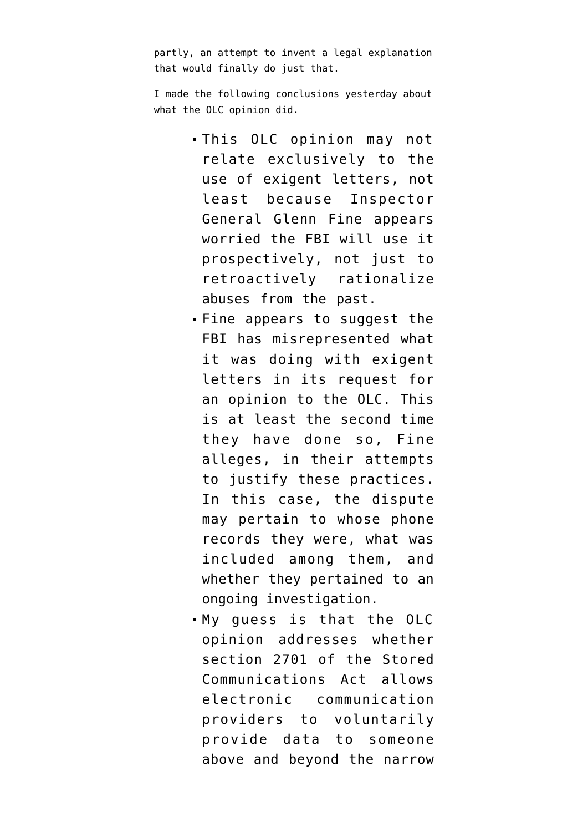partly, an attempt to invent a legal explanation that would finally do just that.

I made the following conclusions yesterday about what the OLC opinion did.

- This OLC opinion may not relate exclusively to the use of exigent letters, not least because Inspector General Glenn Fine appears worried the FBI will use it prospectively, not just to retroactively rationalize abuses from the past.
- Fine appears to suggest the FBI has misrepresented what it was doing with exigent letters in its request for an opinion to the OLC. This is at least the second time they have done so, Fine alleges, in their attempts to justify these practices. In this case, the dispute may pertain to whose phone records they were, what was included among them, and whether they pertained to an ongoing investigation.
- My guess is that the OLC opinion addresses whether [section 2701](http://www.law.cornell.edu/uscode/18/usc_sec_18_00002701----000-.html) of the Stored Communications Act allows electronic communication providers to voluntarily provide data to someone above and beyond the narrow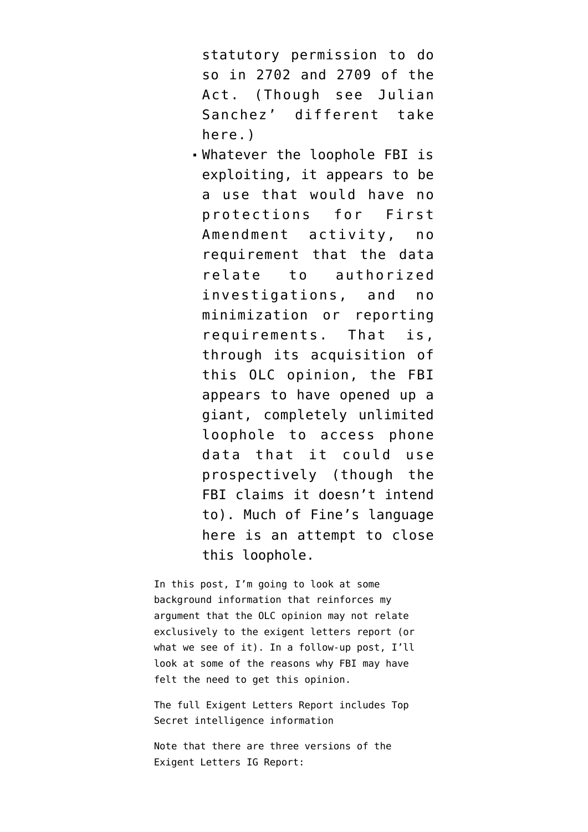statutory permission to do so in [2702](http://www.law.cornell.edu/uscode/18/usc_sec_18_00002702----000-.html) and [2709](http://www.law.cornell.edu/uscode/18/usc_sec_18_00002709----000-.html) of the Act. (Though see Julian Sanchez' different take [here](http://www.cato-at-liberty.org/2010/02/01/retroactive-surveillance-immunity-obama-style/).)

Whatever the loophole FBI is exploiting, it appears to be a use that would have no protections for First Amendment activity, no requirement that the data relate to authorized investigations, and no minimization or reporting requirements. That is, through its acquisition of this OLC opinion, the FBI appears to have opened up a giant, completely unlimited loophole to access phone data that it could use prospectively (though the FBI claims it doesn't intend to). Much of Fine's language here is an attempt to close this loophole.

In this post, I'm going to look at some background information that reinforces my argument that the OLC opinion may not relate exclusively to the exigent letters report (or what we see of it). In a follow-up post, I'll look at some of the reasons why FBI may have felt the need to get this opinion.

The full Exigent Letters Report includes Top Secret intelligence information

Note that there are three versions of the Exigent Letters IG Report: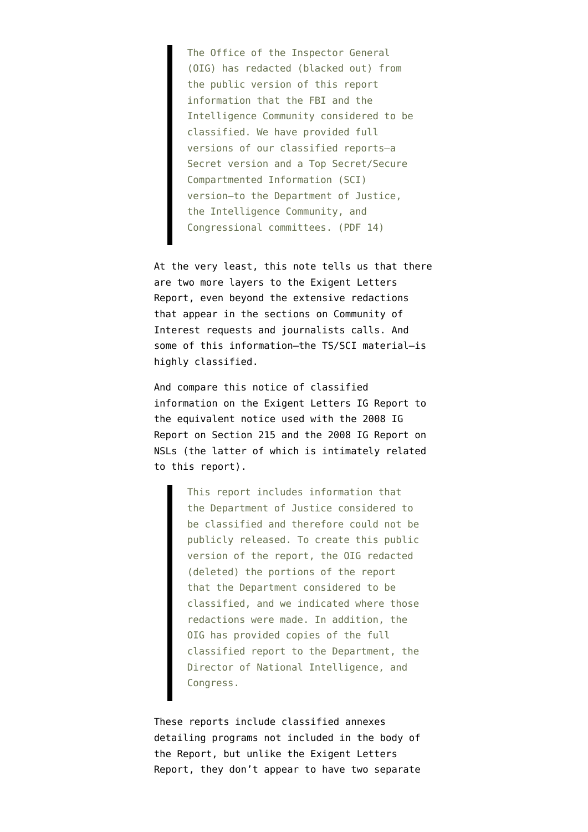The Office of the Inspector General (OIG) has redacted (blacked out) from the public version of this report information that the FBI and the Intelligence Community considered to be classified. We have provided full versions of our classified reports–a Secret version and a Top Secret/Secure Compartmented Information (SCI) version–to the Department of Justice, the Intelligence Community, and Congressional committees. (PDF 14)

At the very least, this note tells us that there are two more layers to the Exigent Letters Report, even beyond the extensive redactions that appear in the sections on Community of Interest requests and journalists calls. And some of this information–the TS/SCI material–is highly classified.

And compare this notice of classified information on the Exigent Letters IG Report to the equivalent notice used with the 2008 [IG](http://www.justice.gov/oig/special/s0803a/final.pdf) [Report on Section 215](http://www.justice.gov/oig/special/s0803a/final.pdf) and the 2008 [IG Report on](http://www.justice.gov/oig/special/s0803b/final.pdf) [NSLs](http://www.justice.gov/oig/special/s0803b/final.pdf) (the latter of which is intimately related to this report).

> This report includes information that the Department of Justice considered to be classified and therefore could not be publicly released. To create this public version of the report, the OIG redacted (deleted) the portions of the report that the Department considered to be classified, and we indicated where those redactions were made. In addition, the OIG has provided copies of the full classified report to the Department, the Director of National Intelligence, and Congress.

These reports include classified annexes detailing programs not included in the body of the Report, but unlike the Exigent Letters Report, they don't appear to have two separate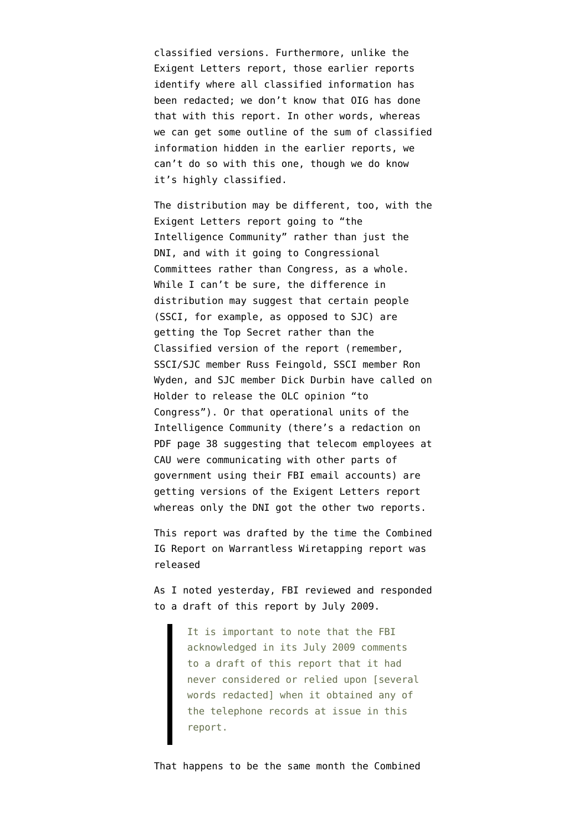classified versions. Furthermore, unlike the Exigent Letters report, those earlier reports identify where all classified information has been redacted; we don't know that OIG has done that with this report. In other words, whereas we can get some outline of the sum of classified information hidden in the earlier reports, we can't do so with this one, though we do know it's highly classified.

The distribution may be different, too, with the Exigent Letters report going to "the Intelligence Community" rather than just the DNI, and with it going to Congressional Committees rather than Congress, as a whole. While I can't be sure, the difference in distribution may suggest that certain people (SSCI, for example, as opposed to SJC) are getting the Top Secret rather than the Classified version of the report (remember, SSCI/SJC member Russ Feingold, SSCI member Ron Wyden, and SJC member Dick Durbin have [called on](http://emptywheel.firedoglake.com/2010/01/22/feingold-durbin-and-wyden-demand-the-olc-opinon-on-exigent-letters/) [Holder](http://emptywheel.firedoglake.com/2010/01/22/feingold-durbin-and-wyden-demand-the-olc-opinon-on-exigent-letters/) to release the OLC opinion "to Congress"). Or that operational units of the Intelligence Community (there's a redaction on PDF page 38 suggesting that telecom employees at CAU were communicating with other parts of government using their FBI email accounts) are getting versions of the Exigent Letters report whereas only the DNI got the other two reports.

This report was drafted by the time the Combined IG Report on Warrantless Wiretapping report was released

As I noted yesterday, FBI reviewed and responded to a draft of this report by July 2009.

> It is important to note that the FBI acknowledged in its July 2009 comments to a draft of this report that it had never considered or relied upon [several words redacted] when it obtained any of the telephone records at issue in this report.

That happens to be the same month the [Combined](http://www.justice.gov/oig/special/s0907.pdf)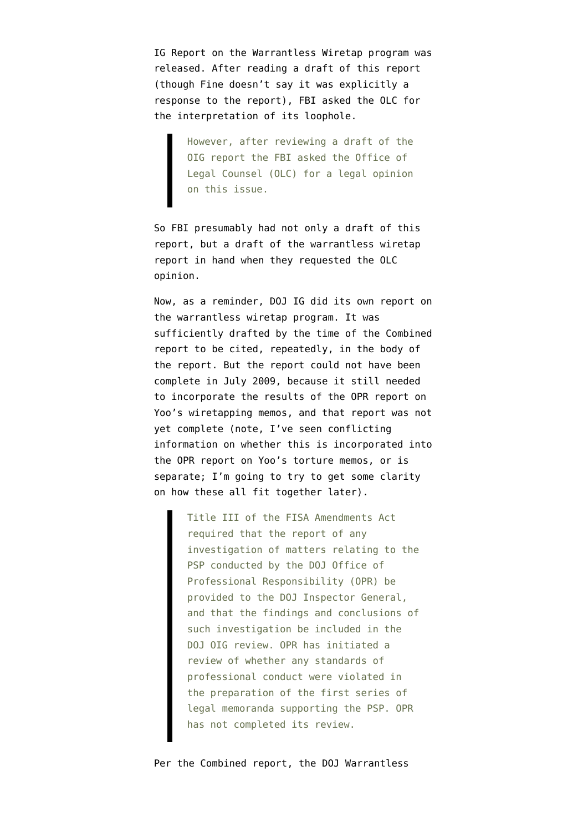[IG Report on the Warrantless Wiretap program](http://www.justice.gov/oig/special/s0907.pdf) was released. After reading a draft of this report (though Fine doesn't say it was explicitly a response to the report), FBI asked the OLC for the interpretation of its loophole.

> However, after reviewing a draft of the OIG report the FBI asked the Office of Legal Counsel (OLC) for a legal opinion on this issue.

So FBI presumably had not only a draft of this report, but a draft of the warrantless wiretap report in hand when they requested the OLC opinion.

Now, as a reminder, DOJ IG did its own report on the warrantless wiretap program. It was sufficiently drafted by the time of the Combined report to be cited, repeatedly, in the body of the report. But the report could not have been complete in July 2009, because it still needed to incorporate the results of the OPR report on Yoo's wiretapping memos, and that report was not yet complete (note, I've seen conflicting information on whether this is incorporated into the OPR report on Yoo's torture memos, or is separate; I'm going to try to get some clarity on how these all fit together later).

> Title III of the FISA Amendments Act required that the report of any investigation of matters relating to the PSP conducted by the DOJ Office of Professional Responsibility (OPR) be provided to the DOJ Inspector General, and that the findings and conclusions of such investigation be included in the DOJ OIG review. OPR has initiated a review of whether any standards of professional conduct were violated in the preparation of the first series of legal memoranda supporting the PSP. OPR has not completed its review.

Per the Combined report, the DOJ Warrantless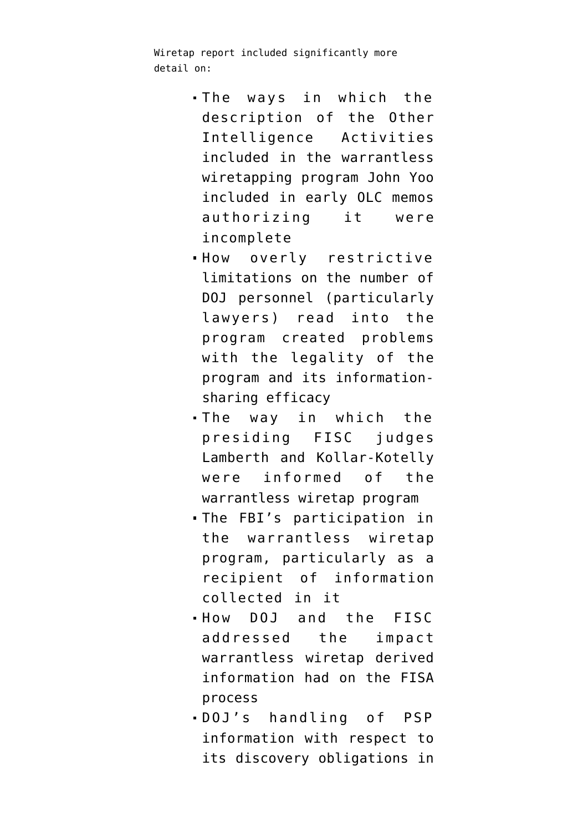Wiretap report included significantly more detail on:

- The ways in which the description of the Other Intelligence Activities included in the warrantless wiretapping program John Yoo included in early OLC memos authorizing it were incomplete
- How overly restrictive limitations on the number of DOJ personnel (particularly lawyers) read into the program created problems with the legality of the program and its informationsharing efficacy
- The way in which the presiding FISC judges Lamberth and Kollar-Kotelly were informed of the warrantless wiretap program
- The FBI's participation in the warrantless wiretap program, particularly as a recipient of information collected in it
- How DOJ and the FISC addressed the impact warrantless wiretap derived information had on the FISA process
- DOJ's handling of PSP information with respect to its discovery obligations in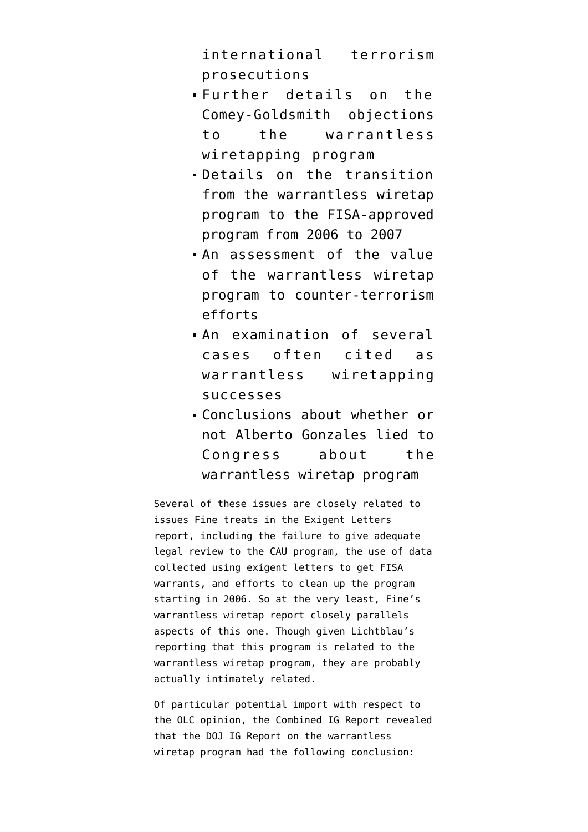international terrorism prosecutions

- Further details on the Comey-Goldsmith objections to the warrantless wiretapping program
- Details on the transition from the warrantless wiretap program to the FISA-approved program from 2006 to 2007
- An assessment of the value of the warrantless wiretap program to counter-terrorism efforts
- An examination of several cases often cited as warrantless wiretapping successes
- Conclusions about whether or not Alberto Gonzales lied to Congress about the warrantless wiretap program

Several of these issues are closely related to issues Fine treats in the Exigent Letters report, including the failure to give adequate legal review to the CAU program, the use of data collected using exigent letters to get FISA warrants, and efforts to clean up the program starting in 2006. So at the very least, Fine's warrantless wiretap report closely parallels aspects of this one. Though given Lichtblau's reporting that this program is related to the warrantless wiretap program, they are probably actually intimately related.

Of particular potential import with respect to the OLC opinion, the Combined IG Report revealed that the DOJ IG Report on the warrantless wiretap program had the following conclusion: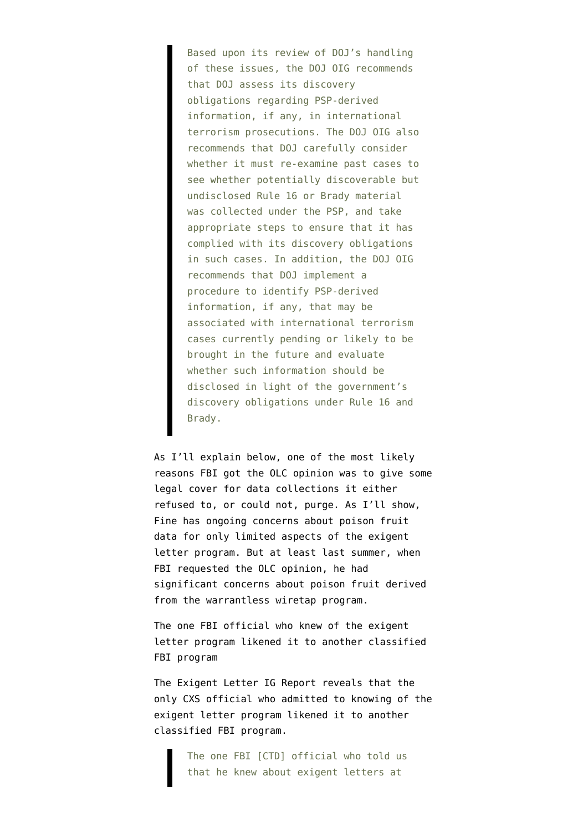Based upon its review of DOJ's handling of these issues, the DOJ OIG recommends that DOJ assess its discovery obligations regarding PSP-derived information, if any, in international terrorism prosecutions. The DOJ OIG also recommends that DOJ carefully consider whether it must re-examine past cases to see whether potentially discoverable but undisclosed Rule 16 or Brady material was collected under the PSP, and take appropriate steps to ensure that it has complied with its discovery obligations in such cases. In addition, the DOJ OIG recommends that DOJ implement a procedure to identify PSP-derived information, if any, that may be associated with international terrorism cases currently pending or likely to be brought in the future and evaluate whether such information should be disclosed in light of the government's discovery obligations under Rule 16 and Brady.

As I'll explain below, one of the most likely reasons FBI got the OLC opinion was to give some legal cover for data collections it either refused to, or could not, purge. As I'll show, Fine has ongoing concerns about poison fruit data for only limited aspects of the exigent letter program. But at least last summer, when FBI requested the OLC opinion, he had significant concerns about poison fruit derived from the warrantless wiretap program.

The one FBI official who knew of the exigent letter program likened it to another classified FBI program

The Exigent Letter IG Report reveals that the only CXS official who admitted to knowing of the exigent letter program likened it to another classified FBI program.

> The one FBI [CTD] official who told us that he knew about exigent letters at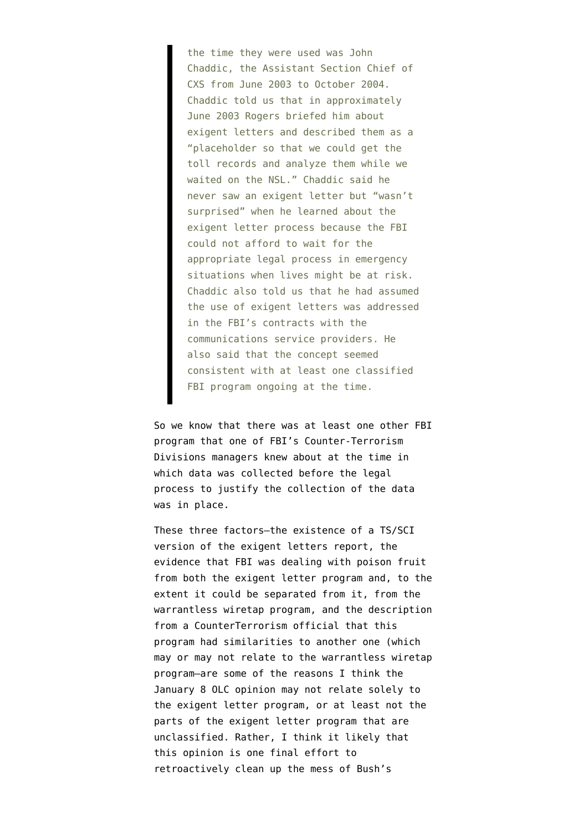the time they were used was John Chaddic, the Assistant Section Chief of CXS from June 2003 to October 2004. Chaddic told us that in approximately June 2003 Rogers briefed him about exigent letters and described them as a "placeholder so that we could get the toll records and analyze them while we waited on the NSL." Chaddic said he never saw an exigent letter but "wasn't surprised" when he learned about the exigent letter process because the FBI could not afford to wait for the appropriate legal process in emergency situations when lives might be at risk. Chaddic also told us that he had assumed the use of exigent letters was addressed in the FBI's contracts with the communications service providers. He also said that the concept seemed consistent with at least one classified FBI program ongoing at the time.

So we know that there was at least one other FBI program that one of FBI's Counter-Terrorism Divisions managers knew about at the time in which data was collected before the legal process to justify the collection of the data was in place.

These three factors–the existence of a TS/SCI version of the exigent letters report, the evidence that FBI was dealing with poison fruit from both the exigent letter program and, to the extent it could be separated from it, from the warrantless wiretap program, and the description from a CounterTerrorism official that this program had similarities to another one (which may or may not relate to the warrantless wiretap program–are some of the reasons I think the January 8 OLC opinion may not relate solely to the exigent letter program, or at least not the parts of the exigent letter program that are unclassified. Rather, I think it likely that this opinion is one final effort to retroactively clean up the mess of Bush's